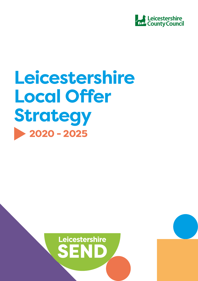

# **Leicestershire Local Offer Strategy** 2020 - 2025

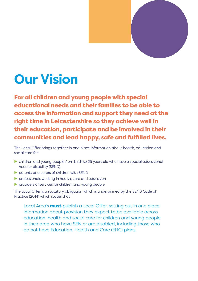

# **Our Vision**

For all children and young people with special educational needs and their families to be able to access the information and support they need at the right time in Leicestershire so they achieve well in their education, participate and be involved in their communities and lead happy, safe and fulfilled lives.

The Local Offer brings together in one place information about health, education and social care for:

- $\triangleright$  children and young people from birth to 25 years old who have a special educational need or disability (SEND)
- $\triangleright$  parents and carers of children with SEND
- $\blacktriangleright$  professionals working in health, care and education
- $\triangleright$  providers of services for children and young people

The Local Offer is a statutory obligation which is underpinned by the SEND Code of Practice (2014) which states that

Local Area's **must** publish a Local Offer, setting out in one place information about provision they expect to be available across education, health and social care for children and young people in their area who have SEN or are disabled, including those who do not have Education, Health and Care (EHC) plans.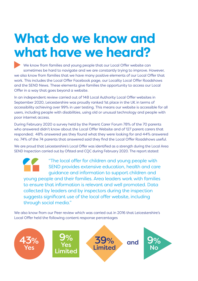## **What do we know and what have we heard?**

We know from families and young people that our Local Offer website can sometimes be hard to navigate and we are constantly trying to improve. However, we also know from families that we have many positive elements of our Local Offer that work. This includes the Local Offer Facebook page, our Locality Local Offer Roadshows and the SEND News. These elements give families the opportunity to access our Local Offer in a way that goes beyond a website.

In an independent review carried out of 148 Local Authority Local Offer websites in September 2020, Leicestershire was proudly ranked 1st place in the UK in terms of accessibility achieving over 99% in user testing. This means our website is accessible for all users, including people with disabilities, using old or unusual technology and people with poor internet access.

During February 2020 a survey held by the Parent Carer Forum 78% of the 70 parents who answered didn't know about the Local Offer Website and of 127 parent carers that responded; 48% answered yes they found what they were looking for and 44% answered no. 74% of the 74 parents that answered said they find the Local Offer Roadshows useful.

We are proud that Leicestershire's Local Offer was identified as a strength during the Local Area SEND Inspection carried out by Ofsted and CQC during February 2020. The report stated:

"The local offer for children and young people with SEND provides extensive education, health and care guidance and information to support children and young people and their families. Area leaders work with families to ensure that information is relevant and well promoted. Data collected by leaders and by inspectors during the inspection suggests significant use of the local offer website, including through social media."

We also know from our Peer review which was carried out in 2016 that Leicestershire's Local Offer held the following content response percentages

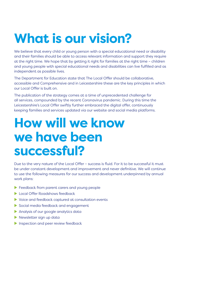# **What is our vision?**

We believe that every child or young person with a special educational need or disability and their families should be able to access relevant information and support they require at the right time. We hope that by getting it right for families at the right time – children and young people with special educational needs and disabilities can live fulfilled and as independent as possible lives.

The Department for Education state that The Local Offer should be collaborative, accessible and Comprehensive and in Leicestershire these are the key principles in which our Local Offer is built on.

The publication of the strategy comes at a time of unprecedented challenge for all services, compounded by the recent Coronavirus pandemic. During this time the Leicestershire's Local Offer swiftly further embraced the digital offer, continuously keeping families and services updated via our website and social media platforms.

#### **How will we know we have been successful?**

Due to the very nature of the Local Offer – success is fluid. For it to be successful it must be under constant development and improvement and never definitive. We will continue to use the following measures for our success and development underpinned by annual work plans:

- $\blacktriangleright$  Feedback from parent carers and young people
- **X Local Offer Roadshows feedback**
- $\triangleright$  Voice and feedback captured at consultation events
- Social media feedback and engagement
- $\blacktriangleright$  Analysis of our google analytics data
- $\blacktriangleright$  Newsletter sign up data
- $\blacktriangleright$  Inspection and peer review feedback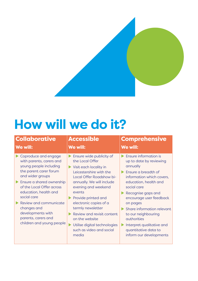

## **How will we do it?**

| <b>Collaborative</b>                                                                                                                                                                                                                                                                                                                         | <b>Accessible</b>                                                                                                                                                                                                                                                                                                                                                                     | <b>Comprehensive</b>                                                                                                                                                                                                                                                                                                                                                      |
|----------------------------------------------------------------------------------------------------------------------------------------------------------------------------------------------------------------------------------------------------------------------------------------------------------------------------------------------|---------------------------------------------------------------------------------------------------------------------------------------------------------------------------------------------------------------------------------------------------------------------------------------------------------------------------------------------------------------------------------------|---------------------------------------------------------------------------------------------------------------------------------------------------------------------------------------------------------------------------------------------------------------------------------------------------------------------------------------------------------------------------|
| We will:                                                                                                                                                                                                                                                                                                                                     | We will:                                                                                                                                                                                                                                                                                                                                                                              | We will:                                                                                                                                                                                                                                                                                                                                                                  |
| Coproduce and engage<br>with parents, carers and<br>young people including<br>the parent carer forum<br>and wider groups<br>Ensure a shared ownership<br>of the Local Offer across<br>education, health and<br>social care<br>Review and communicate<br>changes and<br>developments with<br>parents, carers and<br>children and young people | Ensure wide publicity of<br>the Local Offer<br>Visit each locality in<br>Leicestershire with the<br>Local Offer Roadshow bi-<br>annually. We will include<br>evening and weekend<br>events<br>Provide printed and<br>electronic copies of a<br>termly newsletter<br>Review and revisit content<br>on the website<br>Utilise digital technologies<br>such as video and social<br>media | Ensure information is<br>up to date by reviewing<br>annually<br>Ensure a breadth of<br>information which covers,<br>education, health and<br>social care<br>Recognise gaps and<br>encourage user feedback<br>on pages<br>Share information relevant<br>to our neighbouring<br>authorities<br>Interpret qualitative and<br>quantitative data to<br>inform our developments |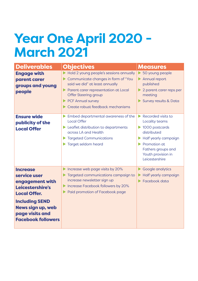# **Year One April 2020 - March 2021**

| <b>Deliverables</b>                                                                                                                                                                                | <b>Objectives</b>                                                                                                                                                                                                                                 | <b>Measures</b>                                                                                                                                                                                                                 |
|----------------------------------------------------------------------------------------------------------------------------------------------------------------------------------------------------|---------------------------------------------------------------------------------------------------------------------------------------------------------------------------------------------------------------------------------------------------|---------------------------------------------------------------------------------------------------------------------------------------------------------------------------------------------------------------------------------|
| <b>Engage with</b><br>parent carer<br>groups and young<br>people                                                                                                                                   | Hold 2 young people's sessions annually<br>Communicate changes in form of "You<br>said we did" at least annually<br>Parent carer representation at Local<br><b>Offer Steering group</b><br>PCF Annual survey<br>Create robust feedback mechanisms | 50 young people<br>Þ.<br>Annual report<br>$\blacktriangleright$<br>published<br>2 parent carer reps per<br>meeting<br>Survey results & Data                                                                                     |
| <b>Ensure wide</b><br>publicity of the<br><b>Local Offer</b>                                                                                                                                       | Embed departmental awareness of the<br><b>Local Offer</b><br>Leaflet distribution to departments<br>across LA and Health<br>Targeted Communications<br>Target seldom heard                                                                        | Recorded visits to<br>ь<br>Locality teams<br>$\blacktriangleright$ 1000 postcards<br>distributed<br>Half yearly campaign<br>Promotion at<br>$\blacktriangleright$<br>Fathers groups and<br>Youth provision in<br>Leicestershire |
| <b>Increase</b><br>service user<br>engagement with<br>Leicestershire's<br><b>Local Offer.</b><br><b>Including SEND</b><br><b>News sign up, web</b><br>page visits and<br><b>Facebook followers</b> | Increase web page visits by 20%<br>Targeted communications campaign to<br>increase newsletter sign up<br>Increase Facebook followers by 20%<br>Paid promotion of Facebook page                                                                    | Google analytics<br>Half yearly campaign<br>Facebook data                                                                                                                                                                       |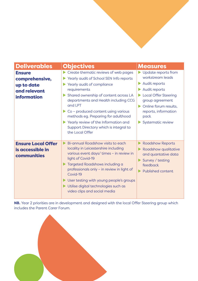| <b>Deliverables</b>                                                                 | <b>Objectives</b>                                                                                                                                                                                                                                                                                                                                                                                                             | <b>Measures</b>                                                                                                                                                                                                    |
|-------------------------------------------------------------------------------------|-------------------------------------------------------------------------------------------------------------------------------------------------------------------------------------------------------------------------------------------------------------------------------------------------------------------------------------------------------------------------------------------------------------------------------|--------------------------------------------------------------------------------------------------------------------------------------------------------------------------------------------------------------------|
| <b>Ensure</b><br>comprehensive,<br>up to date<br>and relevant<br><b>information</b> | Create thematic reviews of web pages<br>Yearly audit of School SEN Info reports<br>Yearly audit of compliance<br>requirements<br>Shared ownership of content across LA<br>departments and Health including CCG<br>and LPT<br>$\triangleright$ Co - produced content using various<br>methods eg. Preparing for adulthood<br>Yearly review of the Information and<br>Support Directory which is integral to<br>the Local Offer | Update reports from<br>workstream leads<br>Audit reports<br>Audit reports<br><b>Local Offer Steering</b><br>group agreement<br>• Online forum results,<br>reports, information<br>pack<br><b>Systematic review</b> |
| <b>Ensure Local Offer</b><br>is accessible in<br>communities                        | Bi-annual Roadshow visits to each<br>locality in Leicestershire including<br>various event days/ times - in review in<br>light of Covid-19<br>Targeted Roadshows including a<br>professionals only - in review in light of<br>Covid-19<br>User testing with young people's groups<br>Utilise digital technologies such as<br>video clips and social media                                                                     | <b>Roadshow Reports</b><br>Roadshow qualitative<br>and quantative data<br>Survey / testing<br>feedback<br><b>Published content</b>                                                                                 |

**NB.** Year 2 priorities are in development and designed with the local Offer Steering group which includes the Parent Carer Forum.

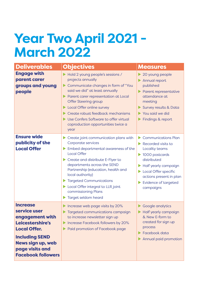## **Year Two April 2021 - March 2022**

| <b>Deliverables</b>                                                                                                                                                                                | <b>Objectives</b>                                                                                                                                                                                                                                                                                                                                                          | <b>Measures</b>                                                                                                                                                                                                                                                                          |
|----------------------------------------------------------------------------------------------------------------------------------------------------------------------------------------------------|----------------------------------------------------------------------------------------------------------------------------------------------------------------------------------------------------------------------------------------------------------------------------------------------------------------------------------------------------------------------------|------------------------------------------------------------------------------------------------------------------------------------------------------------------------------------------------------------------------------------------------------------------------------------------|
| <b>Engage with</b><br>parent carer<br>groups and young<br>people                                                                                                                                   | Hold 2 young people's sessions /<br>projects annually<br>Communicate changes in form of "You<br>Þ.<br>said we did" at least annually<br>Parent carer representation at Local<br><b>Offer Steering group</b><br>Local Offer online survey<br>Create robust feedback mechanisms<br>Use Confers Software to offer virtual<br>coproduction opportunities twice a<br>year       | 20 young people<br>Annual report<br>published<br>Parent representative<br>attendance at<br>meeting<br>Survey results & Data<br>You said we did<br>Findings & report                                                                                                                      |
| <b>Ensure wide</b><br>publicity of the<br><b>Local Offer</b>                                                                                                                                       | Create joint communication plans with<br>Corporate services<br>Embed departmental awareness of the<br><b>Local Offer</b><br>Create and distribute E-Flyer to<br>departments across the SEND<br>Partnership (education, health and<br>local authority)<br><b>Targeted Communications</b><br>Local Offer integral to LLR joint<br>commissioning Plans<br>Target seldom heard | <b>Communications Plan</b><br>$\blacktriangleright$<br>$\blacktriangleright$ Recorded visits to<br>Locality teams<br>$\blacktriangleright$ 1000 postcards<br>distributed<br>Half yearly campaign<br>Local Offer specific<br>actions present in plan<br>Evidence of targeted<br>campaigns |
| <b>Increase</b><br>service user<br>engagement with<br>Leicestershire's<br><b>Local Offer.</b><br><b>Including SEND</b><br><b>News sign up, web</b><br>page visits and<br><b>Facebook followers</b> | Increase web page visits by 20%<br>Targeted communications campaign<br>to increase newsletter sign up<br>Increase Facebook followers by 20%<br>Paid promotion of Facebook page                                                                                                                                                                                             | Google analytics<br>▶<br>Half yearly campaign<br>& New E-form to<br>created for sign up<br>process<br>Facebook data<br>Annual paid promotion                                                                                                                                             |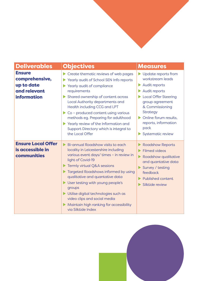| <b>Deliverables</b>                                                                 | <b>Objectives</b>                                                                                                                                                                                                                                                                                                                                                                                                                                | <b>Measures</b>                                                                                                                                                                                                                                                       |
|-------------------------------------------------------------------------------------|--------------------------------------------------------------------------------------------------------------------------------------------------------------------------------------------------------------------------------------------------------------------------------------------------------------------------------------------------------------------------------------------------------------------------------------------------|-----------------------------------------------------------------------------------------------------------------------------------------------------------------------------------------------------------------------------------------------------------------------|
| <b>Ensure</b><br>comprehensive,<br>up to date<br>and relevant<br><b>information</b> | Create thematic reviews of web pages<br>Yearly audit of School SEN Info reports<br>Yearly audit of compliance<br>requirements<br>Shared ownership of content across<br>Local Authority departments and<br>Health including CCG and LPT<br>Co - produced content using various<br>methods eg. Preparing for adulthood<br>Yearly review of the Information and<br>Support Directory which is integral to<br>the Local Offer                        | $\blacktriangleright$ Update reports from<br>workstream leads<br>Audit reports<br>Audit reports<br><b>Local Offer Steering</b><br>group agreement<br>& Commissioning<br><b>Strategy</b><br>Online forum results,<br>reports, information<br>pack<br>Systematic review |
| <b>Ensure Local Offer</b><br>is accessible in<br>communities                        | Bi-annual Roadshow visits to each<br>ь<br>locality in Leicestershire including<br>various event days/ times - in review in<br>light of Covid-19<br>Termly virtual Q&A sessions<br>Targeted Roadshows informed by using<br>qualitative and quantative data<br>User testing with young people's<br>groups<br>Utilise digital technologies such as<br>video clips and social media<br>Maintain high ranking for accessibility<br>via Silktide Index | <b>Roadshow Reports</b><br><b>Filmed videos</b><br>Roadshow qualitative<br>and quantative data<br>Survey / testing<br>feedback<br><b>Published content</b><br>Silktide review                                                                                         |